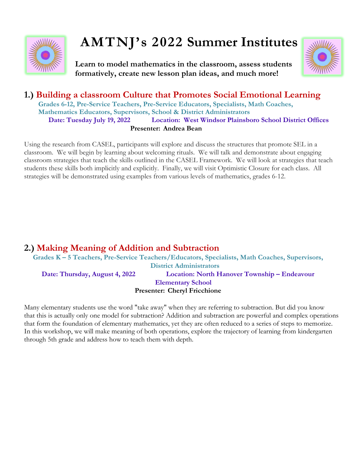

# **AMTNJ's 2022 Summer Institutes**

**Learn to model mathematics in the classroom, assess students formatively, create new lesson plan ideas, and much more!**



# **1.) Building a classroom Culture that Promotes Social Emotional Learning Grades 6-12, Pre-Service Teachers, Pre-Service Educators, Specialists, Math Coaches, Mathematics Educators, Supervisors, School & District Administrators Date: Tuesday July 19, 2022 Location: West Windsor Plainsboro School District Offices Presenter: Andrea Bean**

Using the research from CASEL, participants will explore and discuss the structures that promote SEL in a classroom. We will begin by learning about welcoming rituals. We will talk and demonstrate about engaging classroom strategies that teach the skills outlined in the CASEL Framework. We will look at strategies that teach students these skills both implicitly and explicitly. Finally, we will visit Optimistic Closure for each class. All strategies will be demonstrated using examples from various levels of mathematics, grades 6-12.

## **2.) Making Meaning of Addition and Subtraction**

**Grades K – 5 Teachers, Pre-Service Teachers/Educators, Specialists, Math Coaches, Supervisors, District Administrators Date: Thursday, August 4, 2022 Location: North Hanover Township – Endeavour Elementary School Presenter: Cheryl Fricchione**

Many elementary students use the word "take away" when they are referring to subtraction. But did you know that this is actually only one model for subtraction? Addition and subtraction are powerful and complex operations that form the foundation of elementary mathematics, yet they are often reduced to a series of steps to memorize. In this workshop, we will make meaning of both operations, explore the trajectory of learning from kindergarten through 5th grade and address how to teach them with depth.